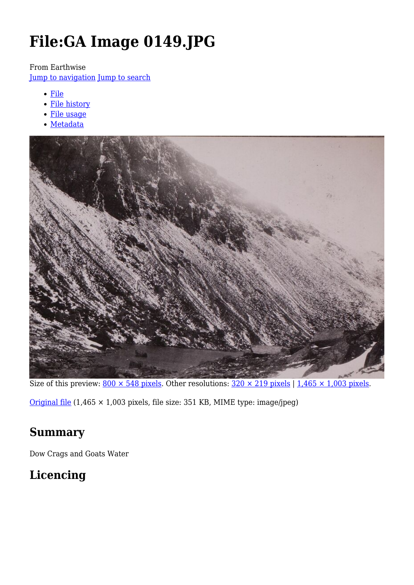# **File:GA Image 0149.JPG**

From Earthwise

[Jump to navigation](#page--1-0) [Jump to search](#page--1-0)

- [File](#page--1-0)
- [File history](#page--1-0)
- [File usage](#page--1-0)
- [Metadata](#page--1-0)



Size of this preview:  $800 \times 548$  pixels. Other resolutions:  $320 \times 219$  pixels | 1,465  $\times$  1,003 pixels.

[Original file](http://earthwise.bgs.ac.uk/images/e/e6/GA_Image_0149.JPG) (1,465 × 1,003 pixels, file size: 351 KB, MIME type: image/jpeg)

# **Summary**

Dow Crags and Goats Water

# **Licencing**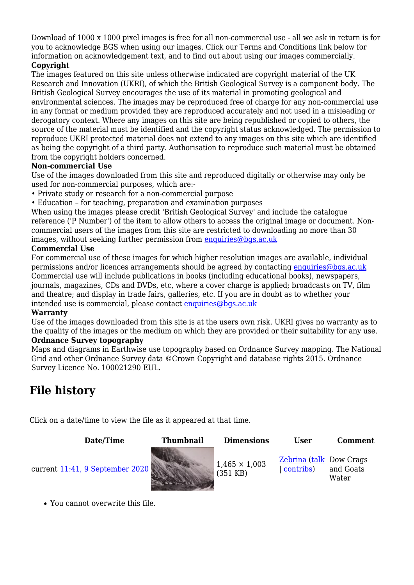Download of 1000 x 1000 pixel images is free for all non-commercial use - all we ask in return is for you to acknowledge BGS when using our images. Click our Terms and Conditions link below for information on acknowledgement text, and to find out about using our images commercially.

#### **Copyright**

The images featured on this site unless otherwise indicated are copyright material of the UK Research and Innovation (UKRI), of which the British Geological Survey is a component body. The British Geological Survey encourages the use of its material in promoting geological and environmental sciences. The images may be reproduced free of charge for any non-commercial use in any format or medium provided they are reproduced accurately and not used in a misleading or derogatory context. Where any images on this site are being republished or copied to others, the source of the material must be identified and the copyright status acknowledged. The permission to reproduce UKRI protected material does not extend to any images on this site which are identified as being the copyright of a third party. Authorisation to reproduce such material must be obtained from the copyright holders concerned.

#### **Non-commercial Use**

Use of the images downloaded from this site and reproduced digitally or otherwise may only be used for non-commercial purposes, which are:-

- Private study or research for a non-commercial purpose
- Education for teaching, preparation and examination purposes

When using the images please credit 'British Geological Survey' and include the catalogue reference ('P Number') of the item to allow others to access the original image or document. Noncommercial users of the images from this site are restricted to downloading no more than 30 images, without seeking further permission from [enquiries@bgs.ac.uk](mailto:enquiries@bgs.ac.uk)

#### **Commercial Use**

For commercial use of these images for which higher resolution images are available, individual permissions and/or licences arrangements should be agreed by contacting [enquiries@bgs.ac.uk](mailto:enquiries@bgs.ac.uk) Commercial use will include publications in books (including educational books), newspapers, journals, magazines, CDs and DVDs, etc, where a cover charge is applied; broadcasts on TV, film and theatre; and display in trade fairs, galleries, etc. If you are in doubt as to whether your intended use is commercial, please contact [enquiries@bgs.ac.uk](mailto:enquiries@bgs.ac.uk)

#### **Warranty**

Use of the images downloaded from this site is at the users own risk. UKRI gives no warranty as to the quality of the images or the medium on which they are provided or their suitability for any use. **Ordnance Survey topography**

Maps and diagrams in Earthwise use topography based on Ordnance Survey mapping. The National Grid and other Ordnance Survey data ©Crown Copyright and database rights 2015. Ordnance Survey Licence No. 100021290 EUL.

# **File history**

Click on a date/time to view the file as it appeared at that time.

| Date/Time                       | <b>Thumbnail</b> | <b>Dimensions</b>                  | User                                        | Comment            |
|---------------------------------|------------------|------------------------------------|---------------------------------------------|--------------------|
| current 11:41, 9 September 2020 |                  | $1,465 \times 1,003$<br>$(351$ KB) | <b>Zebrina</b> (talk Dow Crags<br>contribs) | and Goats<br>Water |

You cannot overwrite this file.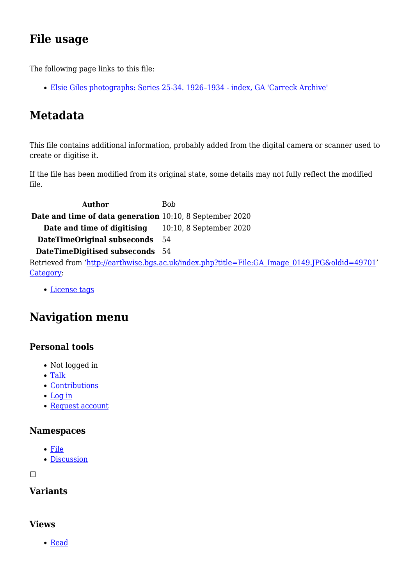# **File usage**

The following page links to this file:

[Elsie Giles photographs: Series 25-34. 1926–1934 - index, GA 'Carreck Archive'](http://earthwise.bgs.ac.uk/index.php/Elsie_Giles_photographs:_Series_25-34._1926%E2%80%931934_-_index,_GA_%27Carreck_Archive%27)

# **Metadata**

This file contains additional information, probably added from the digital camera or scanner used to create or digitise it.

If the file has been modified from its original state, some details may not fully reflect the modified file.

**Author** Bob **Date and time of data generation** 10:10, 8 September 2020 **Date and time of digitising** 10:10, 8 September 2020 **DateTimeOriginal subseconds** 54 **DateTimeDigitised subseconds** 54 Retrieved from ['http://earthwise.bgs.ac.uk/index.php?title=File:GA\\_Image\\_0149.JPG&oldid=49701](http://earthwise.bgs.ac.uk/index.php?title=File:GA_Image_0149.JPG&oldid=49701)' [Category](http://earthwise.bgs.ac.uk/index.php/Special:Categories):

[License tags](http://earthwise.bgs.ac.uk/index.php/Category:License_tags)

# **Navigation menu**

### **Personal tools**

- Not logged in
- [Talk](http://earthwise.bgs.ac.uk/index.php/Special:MyTalk)
- [Contributions](http://earthwise.bgs.ac.uk/index.php/Special:MyContributions)
- [Log in](http://earthwise.bgs.ac.uk/index.php?title=Special:UserLogin&returnto=File%3AGA+Image+0149.JPG&returntoquery=action%3Dmpdf)
- [Request account](http://earthwise.bgs.ac.uk/index.php/Special:RequestAccount)

### **Namespaces**

- [File](http://earthwise.bgs.ac.uk/index.php/File:GA_Image_0149.JPG)
- [Discussion](http://earthwise.bgs.ac.uk/index.php?title=File_talk:GA_Image_0149.JPG&action=edit&redlink=1)

 $\Box$ 

### **Variants**

### **Views**

• [Read](http://earthwise.bgs.ac.uk/index.php/File:GA_Image_0149.JPG)